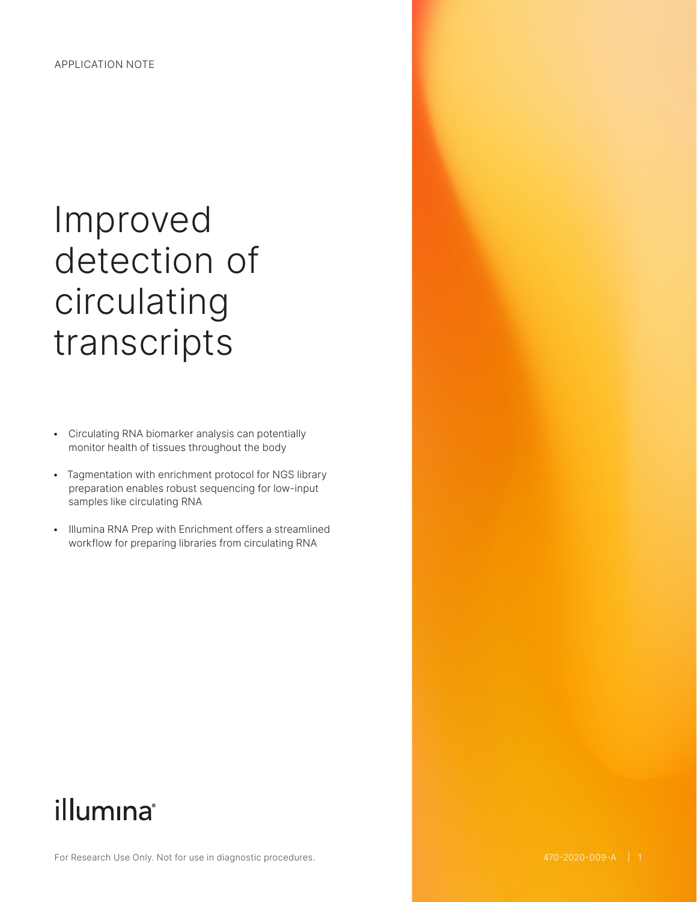# Improved detection of circulating transcripts

- Circulating RNA biomarker analysis can potentially monitor health of tissues throughout the body
- Tagmentation with enrichment protocol for NGS library preparation enables robust sequencing for low-input samples like circulating RNA
- Illumina RNA Prep with Enrichment offers a streamlined workflow for preparing libraries from circulating RNA

## illumına®

For Research Use Only. Not for use in diagnostic procedures.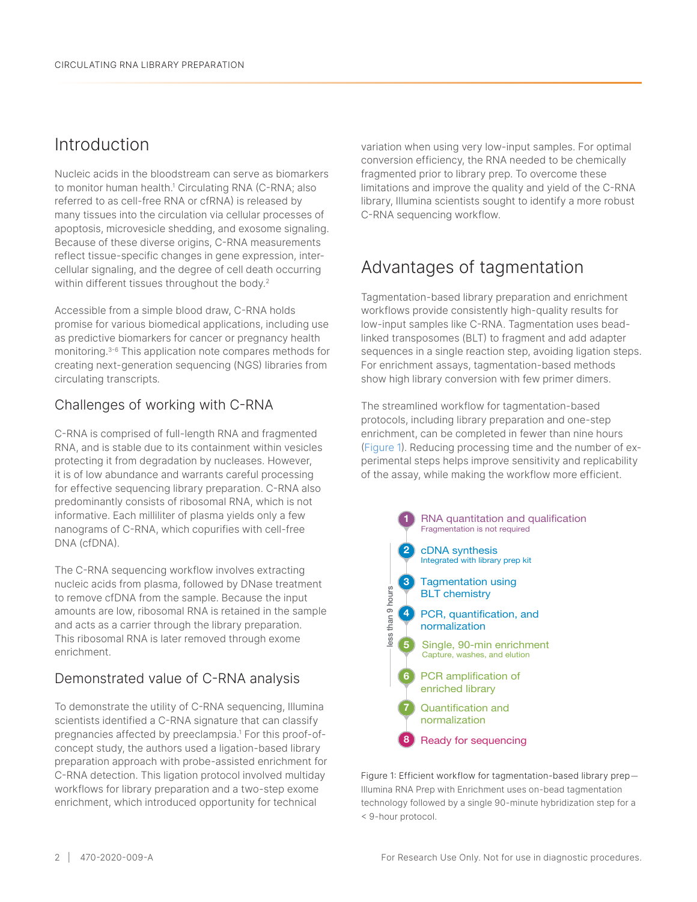### <span id="page-1-0"></span>Introduction

Nucleic acids in the bloodstream can serve as biomarkers to monitor human health.<sup>1</sup> Circulating RNA (C-RNA; also referred to as cell-free RNA or cfRNA) is released by many tissues into the circulation via cellular processes of apoptosis, microvesicle shedding, and exosome signaling. Because of these diverse origins, C-RNA measurements reflect tissue-specific changes in gene expression, intercellular signaling, and the degree of cell death occurring within different tissues throughout the body.<sup>[2](#page-3-1)</sup>

Accessible from a simple blood draw, C-RNA holds promise for various biomedical applications, including use as predictive biomarkers for cancer or pregnancy health monitoring[.3](#page-3-2)-[6](#page-3-3) This application note compares methods for creating next-generation sequencing (NGS) libraries from circulating transcripts*.*

#### Challenges of working with C-RNA

C-RNA is comprised of full-length RNA and fragmented RNA, and is stable due to its containment within vesicles protecting it from degradation by nucleases. However, it is of low abundance and warrants careful processing for effective sequencing library preparation. C-RNA also predominantly consists of ribosomal RNA, which is not informative. Each milliliter of plasma yields only a few nanograms of C-RNA, which copurifies with cell-free DNA (cfDNA).

The C-RNA sequencing workflow involves extracting nucleic acids from plasma, followed by DNase treatment to remove cfDNA from the sample. Because the input amounts are low, ribosomal RNA is retained in the sample and acts as a carrier through the library preparation. This ribosomal RNA is later removed through exome 5 Ligation enrichment. France determined<br>the Because the input<br>is retained in the sample<br>elibrary preparation.<br>wed through exome<br>C-RNA analysis

#### Demonstrated value of C-RNA analysis normalization of the set of the set of the set of the set of the set of the set of the set of the set of the s<br>of the set of the set of the set of the set of the set of the set of the set of the set of the set of the set o 6

To demonstrate the utility of C-RNA sequencing, Illumina scientists identified a C-RNA signature that can classify pregnancies affected by preeclampsia.<sup>1</sup> For this proof-ofconcept study, the authors used a ligation-based library preparation approach with probe-assisted enrichment for c-RNA detection. This ligation protocol involved multiday enrich decedem. This inguish precedem corea maritage<br>workflows for library preparation and a two-step exome enrichment, which introduced opportunity for technical

variation when using very low-input samples. For optimal conversion efficiency, the RNA needed to be chemically fragmented prior to library prep. To overcome these limitations and improve the quality and yield of the C-RNA library, Illumina scientists sought to identify a more robust C-RNA sequencing workflow.

## Advantages of tagmentation

Tagmentation-based library preparation and enrichment workflows provide consistently high-quality results for low-input samples like C-RNA. Tagmentation uses beadlinked transposomes (BLT) to fragment and add adapter sequences in a single reaction step, avoiding ligation steps. For enrichment assays, tagmentation-based methods show high library conversion with few primer dimers.

The streamlined workflow for tagmentation-based protocols, including library preparation and one-step enrichment, can be completed in fewer than nine hours (Figure 1). Reducing processing time and the number of experimental steps helps improve sensitivity and replicability of the assay, while making the workflow more efficient.



Figure 1: Efficient workflow for tagmentation-based library prep— Illumina RNA Prep with Enrichment uses on-bead tagmentation technology followed by a single 90-minute hybridization step for a < 9-hour protocol.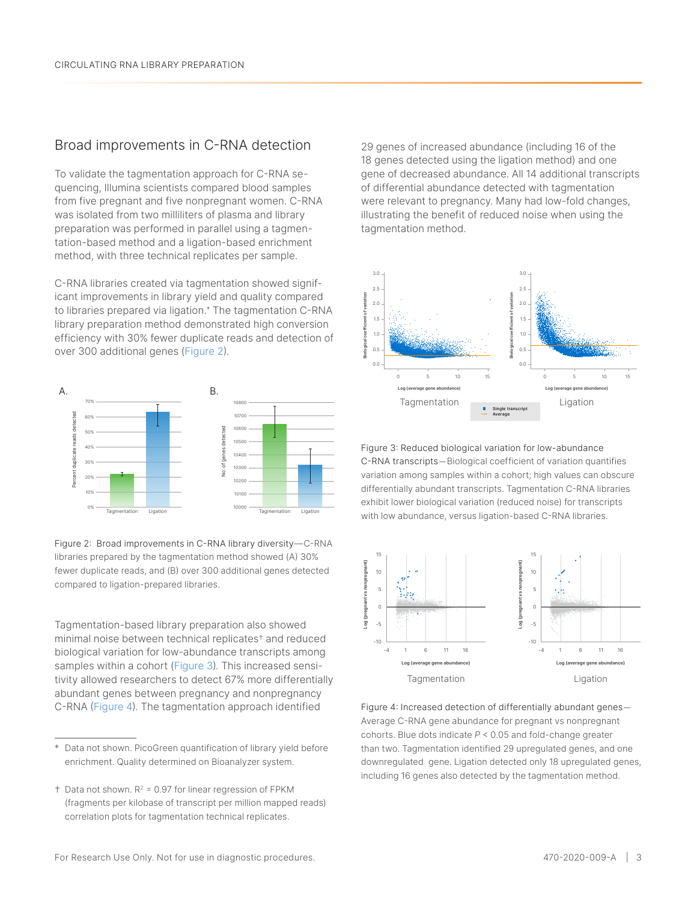#### Broad improvements in C-RNA detection

To validate the tagmentation approach for C-RNA sequencing, Illumina scientists compared blood samples from five pregnant and five nonpregnant women. C-RNA was isolated from two milliliters of plasma and library preparation was performed in parallel using a tagmentation-based method and a ligation-based enrichment method, with three technical replicates per sample.

C-RNA libraries created via tagmentation showed significant improvements in library yield and quality compared to libraries prepared via ligation.\* The tagmentation C-RNA library preparation method demonstrated high conversion efficiency with 30% fewer duplicate reads and detection of over 300 additional genes (Figure 2).



Figure 2: Broad improvements in C-RNA library diversity—C-RNA libraries prepared by the tagmentation method showed (A) 30% fewer duplicate reads, and (B) over 300 additional genes detected compared to ligation-prepared libraries.

Tagmentation-based library preparation also showed minimal noise between technical replicates† and reduced biological variation for low-abundance transcripts among samples within a cohort (Figure 3). This increased sensitivity allowed researchers to detect 67% more differentially abundant genes between pregnancy and nonpregnancy C-RNA (Figure 4). The tagmentation approach identified

29 genes of increased abundance (including 16 of the 18 genes detected using the ligation method) and one gene of decreased abundance. All 14 additional transcripts of differential abundance detected with tagmentation were relevant to pregnancy. Many had low-fold changes, illustrating the benefit of reduced noise when using the tagmentation method.



Figure 3: Reduced biological variation for low-abundance C-RNA transcripts—Biological coefficient of variation quantifies variation among samples within a cohort; high values can obscure differentially abundant transcripts. Tagmentation C-RNA libraries exhibit lower biological variation (reduced noise) for transcripts with low abundance, versus ligation-based C-RNA libraries.



Figure 4: Increased detection of differentially abundant genes— Average C-RNA gene abundance for pregnant vs nonpregnant cohorts. Blue dots indicate *P* < 0.05 and fold-change greater than two. Tagmentation identified 29 upregulated genes, and one downregulated gene. Ligation detected only 18 upregulated genes, including 16 genes also detected by the tagmentation method.

<sup>\*</sup> Data not shown. PicoGreen quantification of library yield before enrichment. Quality determined on Bioanalyzer system.

 $\dagger$  Data not shown. R<sup>2</sup> = 0.97 for linear regression of FPKM (fragments per kilobase of transcript per million mapped reads) correlation plots for tagmentation technical replicates.